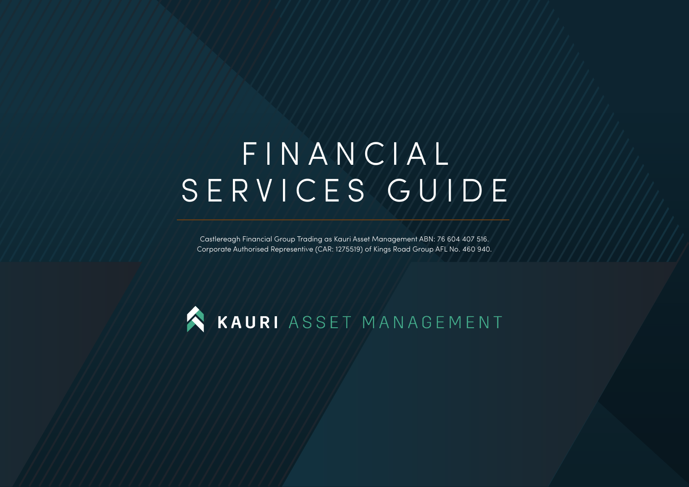# FINANCIAL SERVICES GUIDE

Castlereagh Financial Group Trading as Kauri Asset Management ABN: 76 604 407 516. Corporate Authorised Representive (CAR: 1275519) of Kings Road Group AFL No. 460 940.

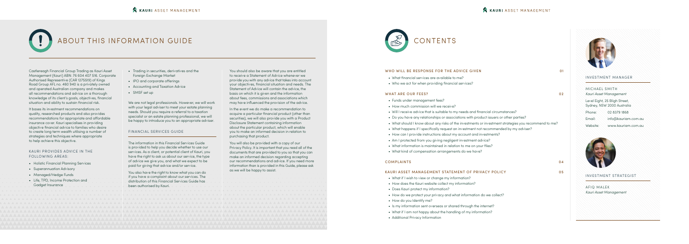## ABOUT THIS INFORMATION GUIDE

Castlereagh Financial Group Trading as Kauri Asset Management (Kauri) ABN: 76 604 407 516. Corporate Authorised Representive (CAR 1275519) of Kings Road Group AFL no. 460 940 is a privately owned and operated Australian company and makes all recommendations and advice on a thorough knowledge of its client's goals, objectives, financial situation and ability to sustain financial risk.

It bases its investment recommendations on quality, researched products and also provides recommendations for appropriate and affordable insurance cover. Kauri specialises in providing objective financial advice to families who desire to create long term wealth utilising a number of strategies and techniques where appropriate to help achieve this objective.

We are not legal professionals. However, we will work with your legal adviser to meet your estate planning needs. Should you require a referral to a taxation specialist or an estate planning professional, we will be happy to introduce you to an appropriate adviser.

#### KAURI PROVIDES ADVICE IN THE FOLLOWING AREAS:

- Holistic Financial Planning Services
- Superannuation Advisory
- Managed/Hedge Funds
- Life, TPD, Income Protection and Gadget Insurance
- Trading in securities, derivatives and the Foreign Exchange Market
- IPO and corporate offerings
- Accounting and Taxation Advice
- SMSF set up

#### FINANCIAL SERVICES GUIDE

The information in this Financial Services Guide is provided to help you decide whether to use our services. As a client, or potential client of Kauri, you have the right to ask us about our service, the type of advice we give you, and what we expect to be paid for giving that advice and/or service.

You also have the right to know what you can do if you have a complaint about our services. The distribution of this Financial Services Guide has been authorised by Kauri.

#### INVESTMENT MANAGER

| MICHAEL SMITH          |  |
|------------------------|--|
| Kauri Asset Management |  |

| Level Eight, 25 Bligh Street, |
|-------------------------------|
| Sydney, NSW 2000 Australia    |

| Website: | www.kauriam.com.au  |
|----------|---------------------|
| Email:   | info@kauriam.com.au |
| Phone:   | 02 8379 1868        |



You should also be aware that you are entitled to receive a Statement of Advice whenever we provide you with any advice that takes into account your objectives, financial situation and needs. The Statement of Advice will contain the advice, the basis on which it is given and the information about fees, commissions and associations which may have influenced the provision of the advice.

In the event we do make a recommendation to acquire a particular financial product (other than securities), we will also provide you with a Product Disclosure Statement containing information about the particular product, which will enable you to make an informed decision in relation to purchasing that product.

You will also be provided with a copy of our Privacy Policy. It is important that you read all of the documents that are provided to you so that you can make an informed decision regarding accepting our recommendations and advice. If you need more information than is provided in this Guide, please ask as we will be happy to assist.

#### KAURI ASSET MANAGEMENT



#### WHO WILL BE RESPONSE FOR THE ADVICE GIVEN 01

- What financial services are available to me?
- Who we act for when providing financial services?

#### WHAT ARE OUR FEES? 02

- Funds under management fees?
- How much commission will we receive?
- Will I receive advice that is suitable to my needs and financial circumstances?
- Do you have any relationships or associations with product issuers or other parties?
- What should I know about any risks of the investments or investment strategies you recommend to me?
- What happens if I specifically request an investment not recommended by my adviser?
- How can I provide instructions about my account and investments?
- Am I protected from you giving negligent investment advice?
- What information is maintained in relation to me on your files?
- What kind of compensation arrangements do we have?

#### COMPLAINTS 04

#### KAURI ASSET MANAGEMENT STATEMENT OF PRIVACY POLICY 05

- What if I wish to view or change my information?
- How does the Kauri website collect my information?
- Does Kauri protect my information?
- How do we protect your privacy and what information do we collect?
- How do you Identify me?
- Is my information sent overseas or shared through the internet?
- What if I am not happy about the handling of my information?
- Additional Privacy Information



#### INVESTMENT STRATEGIST

AFIQ MALEK *Kauri Asset Management*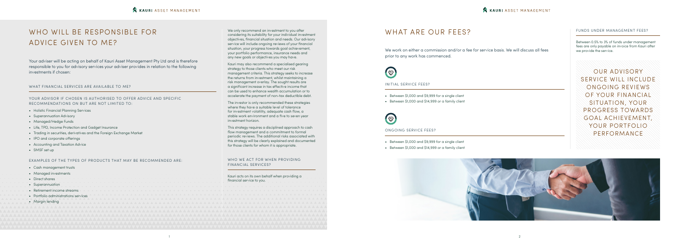## WHO WILL BE RESPONSIBLE FOR ADVICE GIVEN TO ME?

Your adviser will be acting on behalf of Kauri Asset Management Pty Ltd and is therefore responsible to you for advisory services your adviser provides in relation to the following investments if chosen:

WHAT FINANCIAL SERVICES ARE AVAILABLE TO ME?

- Holistic Financial Planning Services
- Superannuation Advisory
- Managed/Hedge Funds
- Life, TPD, Income Protection and Gadget Insurance
- Trading in securities, derivatives and the Foreign Exchange Market
- IPO and corporate offerings
- Accounting and Taxation Advice
- SMSF set up

YOUR ADVISOR IF CHOSEN IS AUTHORISED TO OFFER ADVICE AND SPECIFIC RECOMMENDATIONS ON BUT ARE NOT LIMITED TO:

EXAMPLES OF THE TYPES OF PRODUCTS THAT MAY BE RECOMMENDED ARE:

We only recommend an investment to you after considering its suitability for your individual investment objectives, financial situation and needs. Our advisory service will include ongoing reviews of your financial situation, your progress towards goal achievement, your portfolio performance, insurance needs and any new goals or objectives you may have.

Kauri may also recommend a specialised gearing strategy to those clients who meet our risk management criteria. This strategy seeks to increase the returns from investment, whilst maintaining a risk management overlay. The sought results are a significant increase in tax effective income that can be used to enhance wealth accumulation or to accelerate the payment of non-tax deductible debt.

|                             | FINANCIAL SERVICES?                                                             |
|-----------------------------|---------------------------------------------------------------------------------|
| • Cash management trusts    |                                                                                 |
| • Managed investments       |                                                                                 |
| • Direct shares             | Kauri acts on its own behalf when providing a<br>financial service to you.<br>. |
| • Superannuation            |                                                                                 |
| • Retirement income streams |                                                                                 |
|                             |                                                                                 |
| • Margin lending            |                                                                                 |
|                             |                                                                                 |
|                             |                                                                                 |
|                             |                                                                                 |
|                             |                                                                                 |
|                             |                                                                                 |

The investor is only recommended these strategies where they have a suitable level of tolerance for investment volatility, adequate cash flow, a stable work environment and a five to seven year investment horizon.

This strategy requires a disciplined approach to cash flow management and a commitment to formal periodic reviews. The additional risks associated with this strategy will be clearly explained and documented for those clients for whom it is appropriate.

#### WHO WE ACT FOR WHEN PROVIDING FINANCIAL SERVICES?



### WHAT ARE OUR FEES?

We work on either a commission and/or a fee for service basis. We will discuss all fees prior to any work has commenced.



INITIAL SERVICE FEES?

- Between \$1,000 and \$9,999 for a single client
- Between \$1,000 and \$14,999 or a family client



#### ONGOING SERVICE FEES?

- Between \$1,000 and \$9,999 for a single client
- Between \$1,000 and \$14,999 or a family client

OUR ADVISORY SERVICE WILL INCLUDE ONGOING REVIEWS OF YOUR FINANCIAL SITUATION, YOUR PROGRESS TOWARDS GOAL ACHIEVEMENT, YOUR PORTFOLIO PERFORMANCE



#### FUNDS UNDER MANAGEMENT FEES?

Between 0.5% to 3% of funds under management fees are only payable on invoice from Kauri after we provide the service.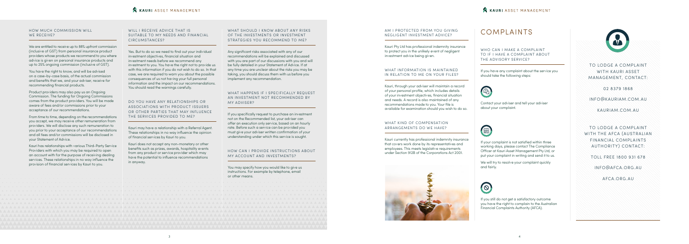#### HOW MUCH COMMISSION WILL WE RECEIVE?

We are entitled to receive up to 88% upfront commission (inclusive of GST) from personal insurance product providers whose products we recommend to you where advice is given on personal insurance products and up to 25% ongoing commission (inclusive of GST).

You have the right to know, and will be advised on a case-by-case basis, of the actual commission and benefits that we, and your adviser, receive for recommending financial products.

Product providers may also pay us an Ongoing Commission. The funding for Ongoing Commissions comes from the product providers. You will be made aware of fees and/or commissions prior to your acceptance of our recommendations.

#### WILL I RECEIVE ADVICE THAT IS SUITABLE TO MY NEEDS AND FINANCIAL CIRCUMSTANCES?

From time to time, depending on the recommendations you accept, we may receive other remuneration from providers. We will disclose any such remuneration to you prior to your acceptance of our recommendations and all fees and/or commissions will be disclosed in your Statement of Advice.

Kauri has relationships with various Third-Party Service Providers with which you may be required to open an account with for the purpose of receiving dealing services. These relationships in no way influence the provision of financial services by Kauri to you.

#### WHAT SHOULD I KNOW ABOUT ANY RISKS OF THE INVESTMENTS OR INVESTMENT STRATEGIES YOU RECOMMEND TO ME?

#### WHAT HAPPENS IF I SPECIFICALLY REQUEST AN INVESTMENT NOT RECOMMENDED BY MY ADVISER?

Yes. But to do so we need to find out your individual investment objectives, financial situation and investment needs before we recommend any investment to you. You have the right not to provide us with this information if you do not wish to do so. In that case, we are required to warn you about the possible consequences of us not having your full personal information and the impact on our recommendations. You should read the warnings carefully.

> You may specify how you would like to give us instructions. For example by telephone, email or other means.



DO YOU HAVE ANY RELATIONSHIPS OR ASSOCIATIONS WITH PRODUCT ISSUERS OR OTHER PARTIES THAT MAY INFLUENCE THE SERVICES PROVIDED TO ME?

Kauri may have a relationship with a Referral Agent. These relationships in no way influence the opinion of financial services by Kauri to you.

Kauri does not accept any non-monetary or other benefits such as prizes, awards, hospitality events from any product or service provider which may have the potential to influence recommendations in anyway.

WHO CAN I MAKE A COMPLAINT TO IF I HAVE A COMPLAINT ABOUT THE ADVISORY SERVICE?

Any significant risks associated with any of our recommendations will be explained and discussed with you are part of our discussions with you and will be fully detailed in your Statement of Advice. If at any time you are unclear about the risks you may be taking, you should discuss them with us before you implement any recommendation.

If you specifically request to purchase an investment not on the Recommended list, your adviser can offer an execution only service, based on an hourly rate. Before such a service can be provided you must give your adviser written confirmation of your understanding under which this service is sought.

#### HOW CAN I PROVIDE INSTRUCTIONS ABOUT MY ACCOUNT AND INVESTMENTS?

#### AM I PROTECTED FROM YOU GIVING NEGLIGENT INVESTMENT ADVICE?

Kauri Pty Ltd has professional indemnity insurance to protect you in the unlikely event of negligent investment advice being given.

#### WHAT INFORMATION IS MAINTAINED IN RELATION TO ME ON YOUR FILES?

Kauri, through your adviser will maintain a record of your personal profile, which includes details of your investment objectives, financial situation and needs. A record is also maintained of any recommendations made to you. Your file is available for examination should you wish to do so.

#### WHAT KIND OF COMPENSATION ARRANGEMENTS DO WE HAVE?

Kauri currently has professional indemnity insurance that covers work done by its representatives and employees. This meets legislative requirements under Section 912B of the Corporations Act 2001.



TO LODGE A COMPLAINT WITH KAURI ASSET MANAGEMENT, CONTACT:

02 8379 1868

INFO@KAURIAM.COM.AU

KAURIAM.COM.AU

TO LODGE A COMPLAINT WITH THE AFCA (AUSTRALIAN FINANCIAL COMPLAINTS AUTHORITY) CONTACT:

TOLL FREE 1800 931 678

INFO@AFCA.ORG.AU

AFCA.ORG.AU

## COMPLAINTS

If you have any complaint about the service you should take the following steps:



Contact your adviser and tell your adviser about your complaint.



If your complaint is not satisfied within three working days, please contact The Compliance Officer at Kauri Asset Management Pty Ltd, or put your complaint in writing and send it to us.

We will try to resolve your complaint quickly and fairly.



If you still do not get a satisfactory outcome you have the right to complain to the Australian Financial Complaints Authority (AFCA).

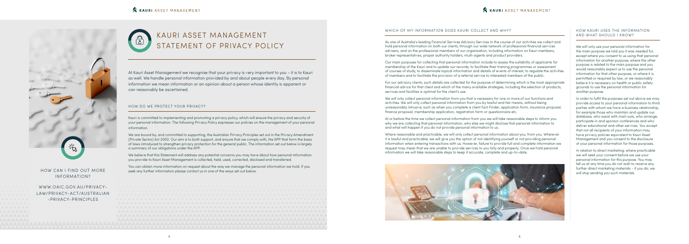At Kauri Asset Management we recognise that your privacy is very important to you - it is to Kauri as well. We handle personal information provided by and about people every day. By personal information we mean information or an opinion about a person whose identity is apparent or can reasonably be ascertained.

#### HOW DO WE PROTECT YOUR PRIVACY?

Kauri is committed to implementing and promoting a privacy policy, which will ensure the privacy and security of your personal information. The following Privacy Policy expresses our policies on the management of your personal information.

We are bound by, and committed to supporting, the Australian Privacy Principles set out in the Privacy Amendment (Private Sector) Act 2000. Our aim is to both support, and ensure that we comply with, the APP that form the basis of laws introduced to strengthen privacy protection for the general public. The information set out below is largely a summary of our obligations under the APP.

We believe that this Statement will address any potential concerns you may have about how personal information you provide to Kauri Asset Management is collected, held, used, corrected, disclosed and transferred.

You can obtain more information on request about the way we manage the personal information we hold. If you





#### WHICH OF MY INFORMATION DOES KAURI COLLECT AND WHY?

As one of Australia's leading Financial Services Advisory Services In the course of our activities we collect and hold personal information on both our clients, through our wide network of professional financial services advisers, and on the professional members of our organisation, including information on Kauri members, broker representatives, proper authority holders, multi-agents and product providers.

Our main purposes for collecting that personal information include to assess the suitability of applicants for membership of the Kauri and to update our records, to facilitate their training programmes or assessment of courses of study, to disseminate topical information and details of events of interest, to regulate the activities of members and to facilitate the provision of a referral service to interested members of the public.

For our advisory clients, such details are collected for the purpose of determining which is the most appropriate financial advice for that client and which of the many available strategies, including the selection of products, services and facilities is optimal for the client's use.

We will only collect personal information from you that is necessary for one or more of our functions and activities. We will only collect personal information from you by lawful and fair means, without being unreasonably intrusive, such as when you complete a client Fact Finder, application form, insurance proposal, finance proposal, membership application, registration form or questionnaire etc.

At or before the time we collect personal information from you we will take reasonable steps to inform you why we are collecting that personal information, who else we might disclose that personal information to and what will happen if you do not provide personal information to us.



Where reasonable and practicable, we will only collect personal information about you, from you. Wherever it is lawful and practicable, we will give you the option of not identifying yourself or not providing personal information when entering transactions with us. However, failure to provide full and complete information we request may mean that we are unable to provide services to you fully and properly. Once we hold personal information we will take reasonable steps to keep it accurate, complete and up-to-date.

#### HOW KAURI USES THE INFORMATION AND WHAT SHOULD I KNOW?

We will only use your personal information for the main purpose we told you it was needed for, except where you consent to us using that personal information for another purpose, where the other purpose is related to the main purpose and you would reasonably expect us to use the personal information for that other purpose, or where it is permitted or required by law, or we reasonably believe it is necessary on health or public safety grounds to use the personal information for another purpose.

In order to fulfil the purposes set out above we may provide access to your personal information to third parties with whom we have a business relationship, for example those who maintain and update our database, who assist with mail-outs, who arrange, participate in and sponsor conferences and who deliver educational and other services. You accept that not all recipients of your information may have privacy policies equivalent to Kauri Asset Management and you consent to the disclosure of your personal information for those purposes.

In relation to direct marketing, where practicable we will seek your consent before we use your personal information for this purpose. You may tell us at any time you do not wish to receive any further direct marketing materials - if you do, we

#### **KAURI ASSET MANAGEMENT**



## INFORMATION?

WWW.OAIC.GOV.AU/PRIVACY-LAW/PRIVACY-ACT/AUSTRALIAN -PRIVACY-PRINCIPLES

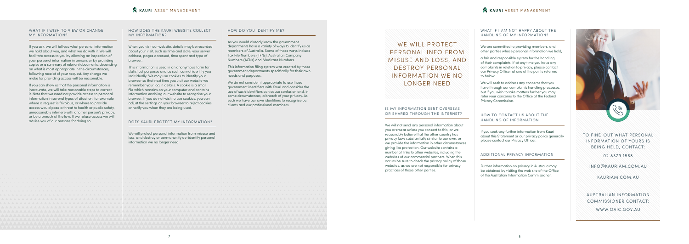#### WHAT IF I WISH TO VIEW OR CHANGE MY INFORMATION?

If you ask, we will tell you what personal information we hold about you, and what we do with it. We will facilitate access to you by allowing an inspection of your personal information in person, or by providing copies or a summary of relevant documents, depending on what is most appropriate in the circumstances, following receipt of your request. Any charge we make for providing access will be reasonable.

If you can show us that the personal information is inaccurate, we will take reasonable steps to correct it. Note that we need not provide access to personal information in several types of situation, for example where a request is frivolous, or where to provide access would pose a threat to health or public safety, unreasonably interfere with another person's privacy, or be a breach of the law. If we refuse access we will advise you of our reasons for doing so.

#### HOW DOES THE KAURI WEBSITE COLLECT MY INFORMATION?

WE WILL PROTECT PERSONAL INFO FROM MISUSE AND LOSS, AND DESTROY PERSONAL INFORMATION WE NO LONGER NEED

When you visit our website, details may be recorded about your visit, such as time and date, your server address, pages accessed, time spent and type of browser.

This information is used in an anonymous form for statistical purposes and as such cannot identify you individually. We may use cookies to identify your browser so that next time you visit our website we remember your log in details. A cookie is a small file which remains on your computer and contains information enabling our website to recognise your browser. If you do not wish to use cookies, you can adjust the settings on your browser to reject cookies or notify you when they are being used.

#### DOES KAURI PROTECT MY INFORMATION?

#### WHAT IF I AM NOT HAPPY ABOUT THE HANDLING OF MY INFORMATION?

We will protect personal information from misuse and loss, and destroy or permanently de-identify personal information we no longer need.

#### HOW DO YOU IDENTIFY ME?

As you would already know the government departments have a variety of ways to identify us as members of Australia. Some of those ways include Tax File Numbers (TFNs), Australian Company Numbers (ACNs) and Medicare Numbers.

This information filing system was created by those government departments specifically for their own needs and purposes.

We do not consider it appropriate to use those government identifiers with Kauri and consider the use of such identifiers can cause confusion and, in some circumstances, a breach of your privacy. As such we have our own identifiers to recognise our clients and our professional members.



#### IS MY INFORMATION SENT OVERSEAS OR SHARED THROUGH THE INTERNET?

We will not send any personal information about you overseas unless you consent to this, or we reasonably believe that the other country has privacy laws substantially similar to our own, or we provide the information in other circumstances giving like protection. Our website contains a number of links to other websites, including the websites of our commercial partners. When this occurs be sure to check the privacy policy of those websites, as we are not responsible for privacy practices of those other parties.

TO FIND OUT WHAT PERSONAL INFORMATION OF YOURS IS BEING HELD, CONTACT:

02 8379 1868

INFO@KAURIAM.COM.AU

KAURIAM.COM.AU

AUSTRALIAN INFORMATION COMMISSIONER CONTACT:

WWW.OAIC.GOV.AU

We are committed to providing members, and other parties whose personal information we hold,

a fair and responsible system for the handling of their complaints. If at any time you have any complaints in relation to privacy, please contact our Privacy Officer at one of the points referred to below.

We will seek to address any concerns that you have through our complaints handling processes. but if you wish to take matters further you may refer your concerns to the Office of the Federal Privacy Commission.

#### HOW TO CONTACT US ABOUT THE HANDLING OF INFORMATION

If you seek any further information from Kauri about this Statement or our privacy policy generally please contact our Privacy Officer.

#### ADDITIONAL PRIVACY INFORMATION

Further information on privacy in Australia may be obtained by visiting the web site of the Office of the Australian Information Commissioner.